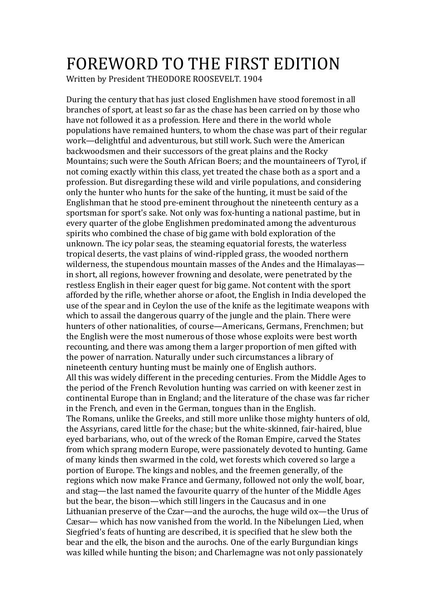## FOREWORD TO THE FIRST EDITION

Written by President THEODORE ROOSEVELT. 1904

During the century that has just closed Englishmen have stood foremost in all branches of sport, at least so far as the chase has been carried on by those who have not followed it as a profession. Here and there in the world whole populations have remained hunters, to whom the chase was part of their regular work—delightful and adventurous, but still work. Such were the American backwoodsmen and their successors of the great plains and the Rocky Mountains; such were the South African Boers; and the mountaineers of Tyrol, if not coming exactly within this class, yet treated the chase both as a sport and a profession. But disregarding these wild and virile populations, and considering only the hunter who hunts for the sake of the hunting, it must be said of the Englishman that he stood pre-eminent throughout the nineteenth century as a sportsman for sport's sake. Not only was fox-hunting a national pastime, but in every quarter of the globe Englishmen predominated among the adventurous spirits who combined the chase of big game with bold exploration of the unknown. The icy polar seas, the steaming equatorial forests, the waterless tropical deserts, the vast plains of wind-rippled grass, the wooded northern wilderness, the stupendous mountain masses of the Andes and the Himalayas in short, all regions, however frowning and desolate, were penetrated by the restless English in their eager quest for big game. Not content with the sport afforded by the rifle, whether ahorse or afoot, the English in India developed the use of the spear and in Ceylon the use of the knife as the legitimate weapons with which to assail the dangerous quarry of the jungle and the plain. There were hunters of other nationalities, of course—Americans, Germans, Frenchmen; but the English were the most numerous of those whose exploits were best worth recounting, and there was among them a larger proportion of men gifted with the power of narration. Naturally under such circumstances a library of nineteenth century hunting must be mainly one of English authors. All this was widely different in the preceding centuries. From the Middle Ages to the period of the French Revolution hunting was carried on with keener zest in continental Europe than in England; and the literature of the chase was far richer in the French, and even in the German, tongues than in the English. The Romans, unlike the Greeks, and still more unlike those mighty hunters of old, the Assyrians, cared little for the chase; but the white-skinned, fair-haired, blue eyed barbarians, who, out of the wreck of the Roman Empire, carved the States from which sprang modern Europe, were passionately devoted to hunting. Game of many kinds then swarmed in the cold, wet forests which covered so large a portion of Europe. The kings and nobles, and the freemen generally, of the regions which now make France and Germany, followed not only the wolf, boar, and stag—the last named the favourite quarry of the hunter of the Middle Ages but the bear, the bison—which still lingers in the Caucasus and in one Lithuanian preserve of the Czar—and the aurochs, the huge wild  $ox$ —the Urus of Cæsar— which has now vanished from the world. In the Nibelungen Lied, when Siegfried's feats of hunting are described, it is specified that he slew both the bear and the elk, the bison and the aurochs. One of the early Burgundian kings was killed while hunting the bison; and Charlemagne was not only passionately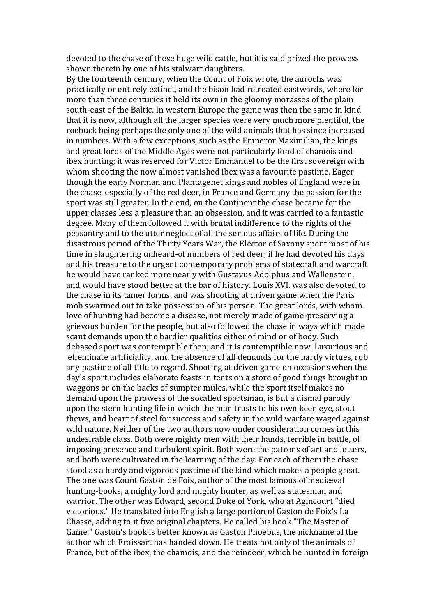devoted to the chase of these huge wild cattle, but it is said prized the prowess shown therein by one of his stalwart daughters.

By the fourteenth century, when the Count of Foix wrote, the aurochs was practically or entirely extinct, and the bison had retreated eastwards, where for more than three centuries it held its own in the gloomy morasses of the plain south-east of the Baltic. In western Europe the game was then the same in kind that it is now, although all the larger species were very much more plentiful, the roebuck being perhaps the only one of the wild animals that has since increased in numbers. With a few exceptions, such as the Emperor Maximilian, the kings and great lords of the Middle Ages were not particularly fond of chamois and ibex hunting; it was reserved for Victor Emmanuel to be the first sovereign with whom shooting the now almost vanished ibex was a favourite pastime. Eager though the early Norman and Plantagenet kings and nobles of England were in the chase, especially of the red deer, in France and Germany the passion for the sport was still greater. In the end, on the Continent the chase became for the upper classes less a pleasure than an obsession, and it was carried to a fantastic degree. Many of them followed it with brutal indifference to the rights of the peasantry and to the utter neglect of all the serious affairs of life. During the disastrous period of the Thirty Years War, the Elector of Saxony spent most of his time in slaughtering unheard-of numbers of red deer; if he had devoted his days and his treasure to the urgent contemporary problems of statecraft and warcraft he would have ranked more nearly with Gustavus Adolphus and Wallenstein, and would have stood better at the bar of history. Louis XVI. was also devoted to the chase in its tamer forms, and was shooting at driven game when the Paris mob swarmed out to take possession of his person. The great lords, with whom love of hunting had become a disease, not merely made of game-preserving a grievous burden for the people, but also followed the chase in ways which made scant demands upon the hardier qualities either of mind or of body. Such debased sport was contemptible then; and it is contemptible now. Luxurious and effeminate artificiality, and the absence of all demands for the hardy virtues, rob any pastime of all title to regard. Shooting at driven game on occasions when the day's sport includes elaborate feasts in tents on a store of good things brought in waggons or on the backs of sumpter mules, while the sport itself makes no demand upon the prowess of the socalled sportsman, is but a dismal parody upon the stern hunting life in which the man trusts to his own keen eye, stout thews, and heart of steel for success and safety in the wild warfare waged against wild nature. Neither of the two authors now under consideration comes in this undesirable class. Both were mighty men with their hands, terrible in battle, of imposing presence and turbulent spirit. Both were the patrons of art and letters, and both were cultivated in the learning of the day. For each of them the chase stood as a hardy and vigorous pastime of the kind which makes a people great. The one was Count Gaston de Foix, author of the most famous of mediæval hunting-books, a mighty lord and mighty hunter, as well as statesman and warrior. The other was Edward, second Duke of York, who at Agincourt "died victorious." He translated into English a large portion of Gaston de Foix's La Chasse, adding to it five original chapters. He called his book "The Master of Game." Gaston's book is better known as Gaston Phoebus, the nickname of the author which Froissart has handed down. He treats not only of the animals of France, but of the ibex, the chamois, and the reindeer, which he hunted in foreign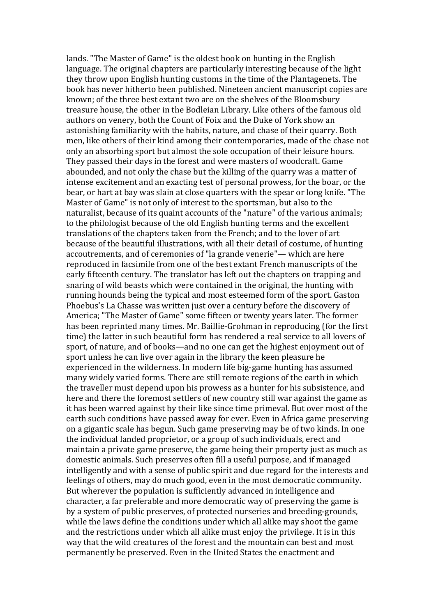lands. "The Master of Game" is the oldest book on hunting in the English language. The original chapters are particularly interesting because of the light they throw upon English hunting customs in the time of the Plantagenets. The book has never hitherto been published. Nineteen ancient manuscript copies are known; of the three best extant two are on the shelves of the Bloomsbury treasure house, the other in the Bodleian Library. Like others of the famous old authors on venery, both the Count of Foix and the Duke of York show an astonishing familiarity with the habits, nature, and chase of their quarry. Both men, like others of their kind among their contemporaries, made of the chase not only an absorbing sport but almost the sole occupation of their leisure hours. They passed their days in the forest and were masters of woodcraft. Game abounded, and not only the chase but the killing of the quarry was a matter of intense excitement and an exacting test of personal prowess, for the boar, or the bear, or hart at bay was slain at close quarters with the spear or long knife. "The Master of Game" is not only of interest to the sportsman, but also to the naturalist, because of its quaint accounts of the "nature" of the various animals; to the philologist because of the old English hunting terms and the excellent translations of the chapters taken from the French; and to the lover of art because of the beautiful illustrations, with all their detail of costume, of hunting accoutrements, and of ceremonies of "la grande venerie"— which are here reproduced in facsimile from one of the best extant French manuscripts of the early fifteenth century. The translator has left out the chapters on trapping and snaring of wild beasts which were contained in the original, the hunting with running hounds being the typical and most esteemed form of the sport. Gaston Phoebus's La Chasse was written just over a century before the discovery of America; "The Master of Game" some fifteen or twenty years later. The former has been reprinted many times. Mr. Baillie-Grohman in reproducing (for the first time) the latter in such beautiful form has rendered a real service to all lovers of sport, of nature, and of books—and no one can get the highest enjoyment out of sport unless he can live over again in the library the keen pleasure he experienced in the wilderness. In modern life big-game hunting has assumed many widely varied forms. There are still remote regions of the earth in which the traveller must depend upon his prowess as a hunter for his subsistence, and here and there the foremost settlers of new country still war against the game as it has been warred against by their like since time primeval. But over most of the earth such conditions have passed away for ever. Even in Africa game preserving on a gigantic scale has begun. Such game preserving may be of two kinds. In one the individual landed proprietor, or a group of such individuals, erect and maintain a private game preserve, the game being their property just as much as domestic animals. Such preserves often fill a useful purpose, and if managed intelligently and with a sense of public spirit and due regard for the interests and feelings of others, may do much good, even in the most democratic community. But wherever the population is sufficiently advanced in intelligence and character, a far preferable and more democratic way of preserving the game is by a system of public preserves, of protected nurseries and breeding-grounds, while the laws define the conditions under which all alike may shoot the game and the restrictions under which all alike must enjoy the privilege. It is in this way that the wild creatures of the forest and the mountain can best and most permanently be preserved. Even in the United States the enactment and